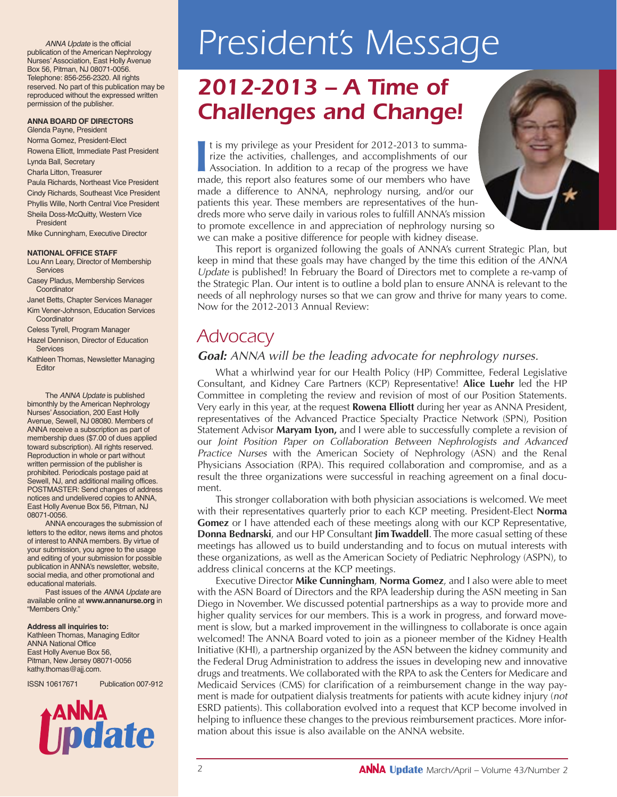*ANNA Update* is the official publication of the American Nephrology Nurses' Association, East Holly Avenue Box 56, Pitman, NJ 08071-0056. Telephone: 856-256-2320. All rights reserved. No part of this publication may be reproduced without the expressed written permission of the publisher.

#### **ANNA BOARD OF DIRECTORS**

Glenda Payne, President Norma Gomez, President-Elect Rowena Elliott, Immediate Past President Lynda Ball, Secretary

Charla Litton, Treasurer Paula Richards, Northeast Vice President

Cindy Richards, Southeast Vice President Phyllis Wille, North Central Vice President Sheila Doss-McQuitty, Western Vice President

Mike Cunningham, Executive Director

#### **NATIONAL OFFICE STAFF**

Lou Ann Leary, Director of Membership Services

Casey Pladus, Membership Services **Coordinator** 

Janet Betts, Chapter Services Manager Kim Vener-Johnson, Education Services

**Coordinator** Celess Tyrell, Program Manager

Hazel Dennison, Director of Education **Services** 

Kathleen Thomas, Newsletter Managing **Editor** 

The *ANNA Update* is published bimonthly by the American Nephrology Nurses' Association, 200 East Holly Avenue, Sewell, NJ 08080. Members of ANNA receive a subscription as part of membership dues (\$7.00 of dues applied toward subscription). All rights reserved. Reproduction in whole or part without written permission of the publisher is prohibited. Periodicals postage paid at Sewell, NJ, and additional mailing offices. POSTMASTER: Send changes of address notices and undelivered copies to ANNA, East Holly Avenue Box 56, Pitman, NJ 08071-0056.

ANNA encourages the submission of letters to the editor, news items and photos of interest to ANNA members. By virtue of your submission, you agree to the usage and editing of your submission for possible publication in ANNA's newsletter, website, social media, and other promotional and educational materials.

Past issues of the *ANNA Update* are available online at **www.annanurse.org** in "Members Only."

#### **Address all inquiries to:**

Kathleen Thomas, Managing Editor ANNA National Office East Holly Avenue Box 56, Pitman, New Jersey 08071-0056 kathy.thomas@ajj.com.

ISSN 10617671 Publication 007-912

afe

# *President's Message*

# *2012-2013 – A Time of Challenges and Change!*

It is my privilege as your President for 2012-2013 to summarize the activities, challenges, and accomplishments of our Association. In addition to a recap of the progress we have made, this report also features some of our t is my privilege as your President for 2012-2013 to summarize the activities, challenges, and accomplishments of our Association. In addition to a recap of the progress we have made a difference to ANNA, nephrology nursing, and/or our patients this year. These members are representatives of the hundreds more who serve daily in various roles to fulfill ANNA's mission to promote excellence in and appreciation of nephrology nursing so we can make a positive difference for people with kidney disease.



This report is organized following the goals of ANNA's current Strategic Plan, but keep in mind that these goals may have changed by the time this edition of the ANNA Update is published! In February the Board of Directors met to complete a re-vamp of the Strategic Plan. Our intent is to outline a bold plan to ensure ANNA is relevant to the needs of all nephrology nurses so that we can grow and thrive for many years to come. Now for the 2012-2013 Annual Review:

### *Advocacy*

#### **Goal:** ANNA will be the leading advocate for nephrology nurses.

What a whirlwind year for our Health Policy (HP) Committee, Federal Legislative Consultant, and Kidney Care Partners (KCP) Representative! **Alice Luehr** led the HP Committee in completing the review and revision of most of our Position Statements. Very early in this year, at the request **Rowena Elliott** during her year as ANNA President, representatives of the Advanced Practice Specialty Practice Network (SPN), Position Statement Advisor **Maryam Lyon,** and I were able to successfully complete a revision of our Joint Position Paper on Collaboration Between Nephrologists and Advanced Practice Nurses with the American Society of Nephrology (ASN) and the Renal Physicians Association (RPA). This required collaboration and compromise, and as a result the three organizations were successful in reaching agreement on a final document.

This stronger collaboration with both physician associations is welcomed. We meet with their representatives quarterly prior to each KCP meeting. President-Elect **Norma Gomez** or I have attended each of these meetings along with our KCP Representative, **Donna Bednarski**, and our HP Consultant **Jim Twaddell**. The more casual setting of these meetings has allowed us to build understanding and to focus on mutual interests with these organizations, as well as the American Society of Pediatric Nephrology (ASPN), to address clinical concerns at the KCP meetings.

Executive Director **Mike Cunningham**, **Norma Gomez**, and I also were able to meet with the ASN Board of Directors and the RPA leadership during the ASN meeting in San Diego in November. We discussed potential partnerships as a way to provide more and higher quality services for our members. This is a work in progress, and forward movement is slow, but a marked improvement in the willingness to collaborate is once again welcomed! The ANNA Board voted to join as a pioneer member of the Kidney Health Initiative (KHI), a partnership organized by the ASN between the kidney community and the Federal Drug Administration to address the issues in developing new and innovative drugs and treatments. We collaborated with the RPA to ask the Centers for Medicare and Medicaid Services (CMS) for clarification of a reimbursement change in the way payment is made for outpatient dialysis treatments for patients with acute kidney injury (not ESRD patients). This collaboration evolved into a request that KCP become involved in helping to influence these changes to the previous reimbursement practices. More information about this issue is also available on the ANNA website.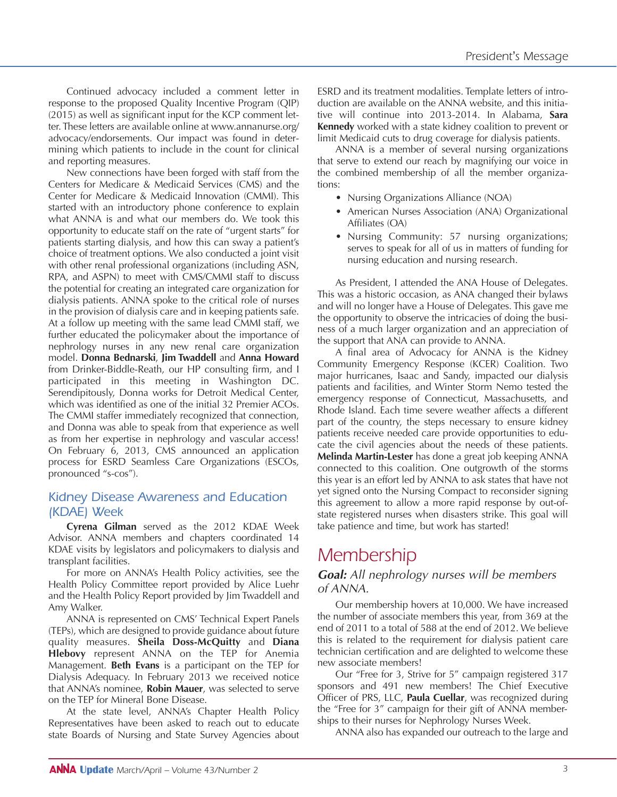Continued advocacy included a comment letter in response to the proposed Quality Incentive Program (QIP) (2015) as well as significant input for the KCP comment letter. These letters are available online at www.annanurse.org/ advocacy/endorsements. Our impact was found in determining which patients to include in the count for clinical and reporting measures.

New connections have been forged with staff from the Centers for Medicare & Medicaid Services (CMS) and the Center for Medicare & Medicaid Innovation (CMMI). This started with an introductory phone conference to explain what ANNA is and what our members do. We took this opportunity to educate staff on the rate of "urgent starts" for patients starting dialysis, and how this can sway a patient's choice of treatment options. We also conducted a joint visit with other renal professional organizations (including ASN, RPA, and ASPN) to meet with CMS/CMMI staff to discuss the potential for creating an integrated care organization for dialysis patients. ANNA spoke to the critical role of nurses in the provision of dialysis care and in keeping patients safe. At a follow up meeting with the same lead CMMI staff, we further educated the policymaker about the importance of nephrology nurses in any new renal care organization model. **Donna Bednarski**, **Jim Twaddell** and **Anna Howard** from Drinker-Biddle-Reath, our HP consulting firm, and I participated in this meeting in Washington DC. Serendipitously, Donna works for Detroit Medical Center, which was identified as one of the initial 32 Premier ACOs. The CMMI staffer immediately recognized that connection, and Donna was able to speak from that experience as well as from her expertise in nephrology and vascular access! On February 6, 2013, CMS announced an application process for ESRD Seamless Care Organizations (ESCOs, pronounced "s-cos").

### *Kidney Disease Awareness and Education (KDAE) Week*

**Cyrena Gilman** served as the 2012 KDAE Week Advisor. ANNA members and chapters coordinated 14 KDAE visits by legislators and policymakers to dialysis and transplant facilities.

For more on ANNA's Health Policy activities, see the Health Policy Committee report provided by Alice Luehr and the Health Policy Report provided by Jim Twaddell and Amy Walker.

ANNA is represented on CMS' Technical Expert Panels (TEPs), which are designed to provide guidance about future quality measures. **Sheila Doss-McQuitty** and **Diana Hlebovy** represent ANNA on the TEP for Anemia Management. **Beth Evans** is a participant on the TEP for Dialysis Adequacy. In February 2013 we received notice that ANNA's nominee, **Robin Mauer**, was selected to serve on the TEP for Mineral Bone Disease.

At the state level, ANNA's Chapter Health Policy Representatives have been asked to reach out to educate state Boards of Nursing and State Survey Agencies about ESRD and its treatment modalities. Template letters of introduction are available on the ANNA website, and this initiative will continue into 2013-2014. In Alabama, **Sara Kennedy** worked with a state kidney coalition to prevent or limit Medicaid cuts to drug coverage for dialysis patients.

ANNA is a member of several nursing organizations that serve to extend our reach by magnifying our voice in the combined membership of all the member organizations:

- Nursing Organizations Alliance (NOA)
- American Nurses Association (ANA) Organizational Affiliates (OA)
- Nursing Community: 57 nursing organizations; serves to speak for all of us in matters of funding for nursing education and nursing research.

As President, I attended the ANA House of Delegates. This was a historic occasion, as ANA changed their bylaws and will no longer have a House of Delegates. This gave me the opportunity to observe the intricacies of doing the business of a much larger organization and an appreciation of the support that ANA can provide to ANNA.

A final area of Advocacy for ANNA is the Kidney Community Emergency Response (KCER) Coalition. Two major hurricanes, Isaac and Sandy, impacted our dialysis patients and facilities, and Winter Storm Nemo tested the emergency response of Connecticut, Massachusetts, and Rhode Island. Each time severe weather affects a different part of the country, the steps necessary to ensure kidney patients receive needed care provide opportunities to educate the civil agencies about the needs of these patients. **Melinda Martin-Lester** has done a great job keeping ANNA connected to this coalition. One outgrowth of the storms this year is an effort led by ANNA to ask states that have not yet signed onto the Nursing Compact to reconsider signing this agreement to allow a more rapid response by out-ofstate registered nurses when disasters strike. This goal will take patience and time, but work has started!

## *Membership*

#### **Goal:** All nephrology nurses will be members of ANNA.

Our membership hovers at 10,000. We have increased the number of associate members this year, from 369 at the end of 2011 to a total of 588 at the end of 2012. We believe this is related to the requirement for dialysis patient care technician certification and are delighted to welcome these new associate members!

Our "Free for 3, Strive for 5" campaign registered 317 sponsors and 491 new members! The Chief Executive Officer of PRS, LLC, **Paula Cuellar**, was recognized during the "Free for 3" campaign for their gift of ANNA memberships to their nurses for Nephrology Nurses Week.

ANNA also has expanded our outreach to the large and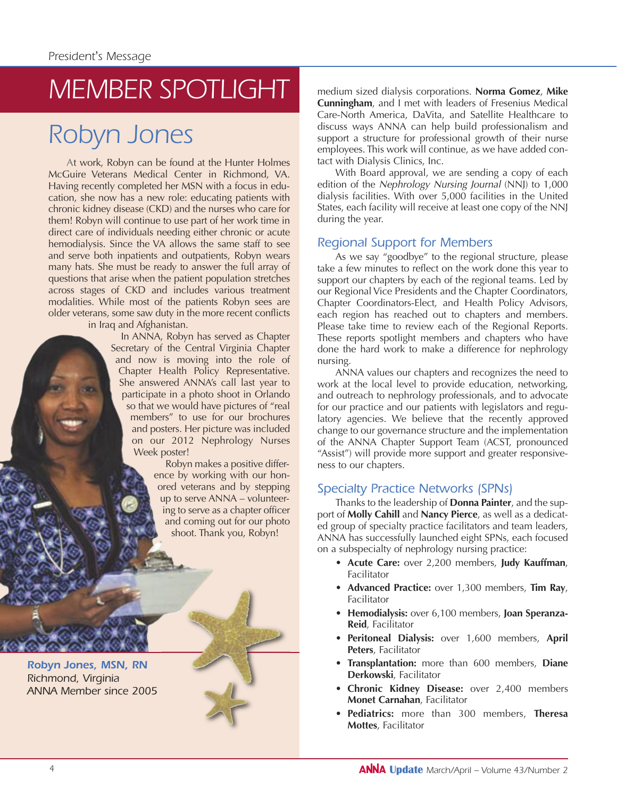# *MEMBER SPOTLIGHT*

# *Robyn Jones*

At work, Robyn can be found at the Hunter Holmes McGuire Veterans Medical Center in Richmond, VA. Having recently completed her MSN with a focus in education, she now has a new role: educating patients with chronic kidney disease (CKD) and the nurses who care for them! Robyn will continue to use part of her work time in direct care of individuals needing either chronic or acute hemodialysis. Since the VA allows the same staff to see and serve both inpatients and outpatients, Robyn wears many hats. She must be ready to answer the full array of questions that arise when the patient population stretches across stages of CKD and includes various treatment modalities. While most of the patients Robyn sees are older veterans, some saw duty in the more recent conflicts

in Iraq and Afghanistan.

In ANNA, Robyn has served as Chapter Secretary of the Central Virginia Chapter and now is moving into the role of Chapter Health Policy Representative. She answered ANNA's call last year to participate in a photo shoot in Orlando so that we would have pictures of "real members" to use for our brochures and posters. Her picture was included on our 2012 Nephrology Nurses Week poster!

> Robyn makes a positive difference by working with our honored veterans and by stepping up to serve ANNA – volunteering to serve as a chapter officer and coming out for our photo shoot. Thank you, Robyn!

*Robyn Jones, MSN, RN Richmond, Virginia ANNA Member since 2005* medium sized dialysis corporations. **Norma Gomez**, **Mike Cunningham**, and I met with leaders of Fresenius Medical Care-North America, DaVita, and Satellite Healthcare to discuss ways ANNA can help build professionalism and support a structure for professional growth of their nurse employees. This work will continue, as we have added contact with Dialysis Clinics, Inc.

With Board approval, we are sending a copy of each edition of the Nephrology Nursing Journal (NNJ) to 1,000 dialysis facilities. With over 5,000 facilities in the United States, each facility will receive at least one copy of the NNJ during the year.

### *Regional Support for Members*

As we say "goodbye" to the regional structure, please take a few minutes to reflect on the work done this year to support our chapters by each of the regional teams. Led by our Regional Vice Presidents and the Chapter Coordinators, Chapter Coordinators-Elect, and Health Policy Advisors, each region has reached out to chapters and members. Please take time to review each of the Regional Reports. These reports spotlight members and chapters who have done the hard work to make a difference for nephrology nursing.

ANNA values our chapters and recognizes the need to work at the local level to provide education, networking, and outreach to nephrology professionals, and to advocate for our practice and our patients with legislators and regulatory agencies. We believe that the recently approved change to our governance structure and the implementation of the ANNA Chapter Support Team (ACST, pronounced "Assist") will provide more support and greater responsiveness to our chapters.

### *Specialty Practice Networks (SPNs)*

Thanks to the leadership of **Donna Painter**, and the support of **Molly Cahill** and **Nancy Pierce**, as well as a dedicated group of specialty practice facilitators and team leaders, ANNA has successfully launched eight SPNs, each focused on a subspecialty of nephrology nursing practice:

- **Acute Care:** over 2,200 members, **Judy Kauffman**, Facilitator
- **Advanced Practice:** over 1,300 members, **Tim Ray**, Facilitator
- **Hemodialysis:** over 6,100 members, **Joan Speranza-Reid**, Facilitator
- **Peritoneal Dialysis:** over 1,600 members, **April Peters**, Facilitator
- **Transplantation:** more than 600 members, **Diane Derkowski**, Facilitator
- **Chronic Kidney Disease:** over 2,400 members **Monet Carnahan**, Facilitator
- **Pediatrics:** more than 300 members, **Theresa Mottes**, Facilitator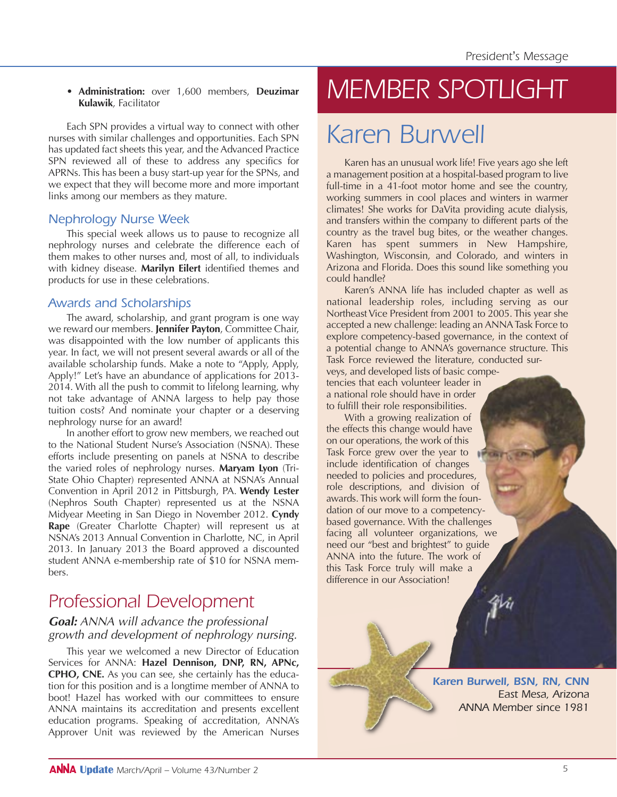• **Administration:** over 1,600 members, **Deuzimar Kulawik**, Facilitator

Each SPN provides a virtual way to connect with other nurses with similar challenges and opportunities. Each SPN has updated fact sheets this year, and the Advanced Practice SPN reviewed all of these to address any specifics for APRNs. This has been a busy start-up year for the SPNs, and we expect that they will become more and more important links among our members as they mature.

### *Nephrology Nurse Week*

This special week allows us to pause to recognize all nephrology nurses and celebrate the difference each of them makes to other nurses and, most of all, to individuals with kidney disease. **Marilyn Eilert** identified themes and products for use in these celebrations.

### *Awards and Scholarships*

The award, scholarship, and grant program is one way we reward our members. **Jennifer Payton**, Committee Chair, was disappointed with the low number of applicants this year. In fact, we will not present several awards or all of the available scholarship funds. Make a note to "Apply, Apply, Apply!" Let's have an abundance of applications for 2013- 2014. With all the push to commit to lifelong learning, why not take advantage of ANNA largess to help pay those tuition costs? And nominate your chapter or a deserving nephrology nurse for an award!

In another effort to grow new members, we reached out to the National Student Nurse's Association (NSNA). These efforts include presenting on panels at NSNA to describe the varied roles of nephrology nurses. **Maryam Lyon** (Tri-State Ohio Chapter) represented ANNA at NSNA's Annual Convention in April 2012 in Pittsburgh, PA. **Wendy Lester** (Nephros South Chapter) represented us at the NSNA Midyear Meeting in San Diego in November 2012. **Cyndy Rape** (Greater Charlotte Chapter) will represent us at NSNA's 2013 Annual Convention in Charlotte, NC, in April 2013. In January 2013 the Board approved a discounted student ANNA e-membership rate of \$10 for NSNA members.

# *Professional Development*

### **Goal:** ANNA will advance the professional growth and development of nephrology nursing.

This year we welcomed a new Director of Education Services for ANNA: **Hazel Dennison, DNP, RN, APNc, CPHO, CNE.** As you can see, she certainly has the education for this position and is a longtime member of ANNA to boot! Hazel has worked with our committees to ensure ANNA maintains its accreditation and presents excellent education programs. Speaking of accreditation, ANNA's Approver Unit was reviewed by the American Nurses

# *MEMBER SPOTLIGHT*

# *Karen Burwell*

Karen has an unusual work life! Five years ago she left a management position at a hospital-based program to live full-time in a 41-foot motor home and see the country, working summers in cool places and winters in warmer climates! She works for DaVita providing acute dialysis, and transfers within the company to different parts of the country as the travel bug bites, or the weather changes. Karen has spent summers in New Hampshire, Washington, Wisconsin, and Colorado, and winters in Arizona and Florida. Does this sound like something you could handle?

Karen's ANNA life has included chapter as well as national leadership roles, including serving as our Northeast Vice President from 2001 to 2005. This year she accepted a new challenge: leading an ANNA Task Force to explore competency-based governance, in the context of a potential change to ANNA's governance structure. This Task Force reviewed the literature, conducted surveys, and developed lists of basic competencies that each volunteer leader in a national role should have in order

to fulfill their role responsibilities. With a growing realization of

the effects this change would have on our operations, the work of this Task Force grew over the year to include identification of changes needed to policies and procedures, role descriptions, and division of awards. This work will form the foundation of our move to a competencybased governance. With the challenges facing all volunteer organizations, we need our "best and brightest" to guide ANNA into the future. The work of this Task Force truly will make a difference in our Association!

> *Karen Burwell, BSN, RN, CNN East Mesa, Arizona ANNA Member since 1981*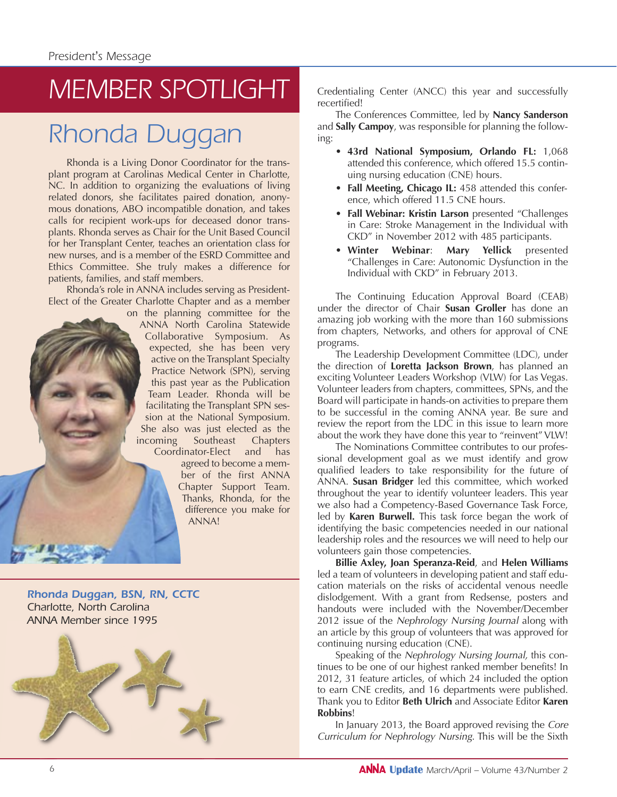# *MEMBER SPOTLIGHT*

# *Rhonda Duggan*

Rhonda is a Living Donor Coordinator for the transplant program at Carolinas Medical Center in Charlotte, NC. In addition to organizing the evaluations of living related donors, she facilitates paired donation, anonymous donations, ABO incompatible donation, and takes calls for recipient work-ups for deceased donor transplants. Rhonda serves as Chair for the Unit Based Council for her Transplant Center, teaches an orientation class for new nurses, and is a member of the ESRD Committee and Ethics Committee. She truly makes a difference for patients, families, and staff members.

Rhonda's role in ANNA includes serving as President-Elect of the Greater Charlotte Chapter and as a member

on the planning committee for the ANNA North Carolina Statewide Collaborative Symposium. As expected, she has been very active on the Transplant Specialty Practice Network (SPN), serving this past year as the Publication Team Leader. Rhonda will be facilitating the Transplant SPN session at the National Symposium. She also was just elected as the incoming Southeast Chapters Coordinator-Elect and has

agreed to become a member of the first ANNA Chapter Support Team. Thanks, Rhonda, for the difference you make for ANNA!

*Rhonda Duggan, BSN, RN, CCTC Charlotte, North Carolina ANNA Member since 1995*



Credentialing Center (ANCC) this year and successfully recertified!

The Conferences Committee, led by **Nancy Sanderson** and **Sally Campoy**, was responsible for planning the following:

- **43rd National Symposium, Orlando FL:** 1,068 attended this conference, which offered 15.5 continuing nursing education (CNE) hours.
- **Fall Meeting, Chicago IL:** 458 attended this conference, which offered 11.5 CNE hours.
- **Fall Webinar: Kristin Larson** presented "Challenges in Care: Stroke Management in the Individual with CKD" in November 2012 with 485 participants.
- **Winter Webinar**: **Mary Yellick** presented "Challenges in Care: Autonomic Dysfunction in the Individual with CKD" in February 2013.

The Continuing Education Approval Board (CEAB) under the director of Chair **Susan Groller** has done an amazing job working with the more than 160 submissions from chapters, Networks, and others for approval of CNE programs.

The Leadership Development Committee (LDC), under the direction of **Loretta Jackson Brown**, has planned an exciting Volunteer Leaders Workshop (VLW) for Las Vegas. Volunteer leaders from chapters, committees, SPNs, and the Board will participate in hands-on activities to prepare them to be successful in the coming ANNA year. Be sure and review the report from the LDC in this issue to learn more about the work they have done this year to "reinvent" VLW!

The Nominations Committee contributes to our professional development goal as we must identify and grow qualified leaders to take responsibility for the future of ANNA. **Susan Bridger** led this committee, which worked throughout the year to identify volunteer leaders. This year we also had a Competency-Based Governance Task Force, led by **Karen Burwell.** This task force began the work of identifying the basic competencies needed in our national leadership roles and the resources we will need to help our volunteers gain those competencies.

**Billie Axley, Joan Speranza-Reid**, and **Helen Williams** led a team of volunteers in developing patient and staff education materials on the risks of accidental venous needle dislodgement. With a grant from Redsense, posters and handouts were included with the November/December 2012 issue of the Nephrology Nursing Journal along with an article by this group of volunteers that was approved for continuing nursing education (CNE).

Speaking of the Nephrology Nursing Journal, this continues to be one of our highest ranked member benefits! In 2012, 31 feature articles, of which 24 included the option to earn CNE credits, and 16 departments were published. Thank you to Editor **Beth Ulrich** and Associate Editor **Karen Robbins**!

In January 2013, the Board approved revising the Core Curriculum for Nephrology Nursing. This will be the Sixth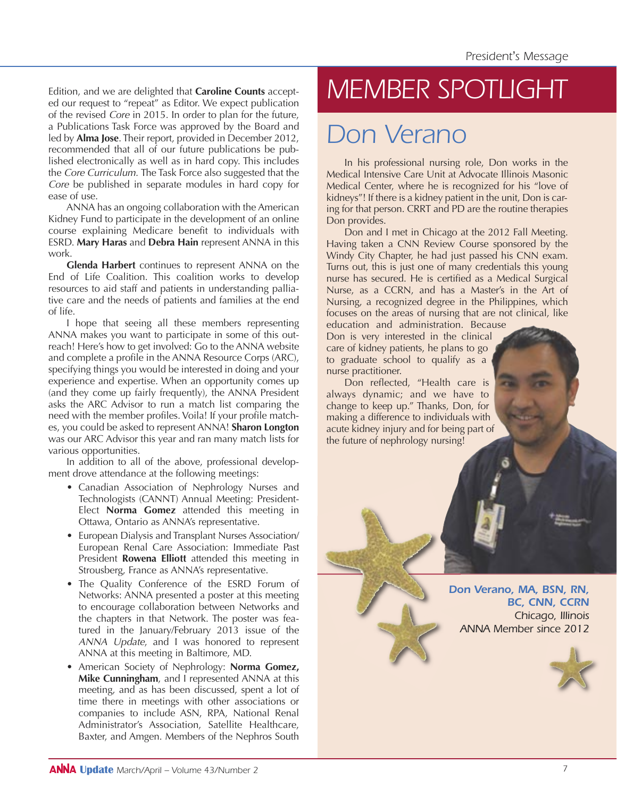Edition, and we are delighted that **Caroline Counts** accepted our request to "repeat" as Editor. We expect publication of the revised Core in 2015. In order to plan for the future, a Publications Task Force was approved by the Board and led by **Alma Jose**. Their report, provided in December 2012, recommended that all of our future publications be published electronically as well as in hard copy. This includes the Core Curriculum. The Task Force also suggested that the Core be published in separate modules in hard copy for ease of use.

ANNA has an ongoing collaboration with the American Kidney Fund to participate in the development of an online course explaining Medicare benefit to individuals with ESRD. **Mary Haras** and **Debra Hain** represent ANNA in this work.

**Glenda Harbert** continues to represent ANNA on the End of Life Coalition. This coalition works to develop resources to aid staff and patients in understanding palliative care and the needs of patients and families at the end of life.

I hope that seeing all these members representing ANNA makes you want to participate in some of this outreach! Here's how to get involved: Go to the ANNA website and complete a profile in the ANNA Resource Corps (ARC), specifying things you would be interested in doing and your experience and expertise. When an opportunity comes up (and they come up fairly frequently), the ANNA President asks the ARC Advisor to run a match list comparing the need with the member profiles. Voila! If your profile matches, you could be asked to represent ANNA! **Sharon Longton** was our ARC Advisor this year and ran many match lists for various opportunities.

In addition to all of the above, professional development drove attendance at the following meetings:

- Canadian Association of Nephrology Nurses and Technologists (CANNT) Annual Meeting: President-Elect **Norma Gomez** attended this meeting in Ottawa, Ontario as ANNA's representative.
- European Dialysis and Transplant Nurses Association/ European Renal Care Association: Immediate Past President **Rowena Elliott** attended this meeting in Strousberg, France as ANNA's representative.
- The Quality Conference of the ESRD Forum of Networks: ANNA presented a poster at this meeting to encourage collaboration between Networks and the chapters in that Network. The poster was featured in the January/February 2013 issue of the ANNA Update, and I was honored to represent ANNA at this meeting in Baltimore, MD.
- American Society of Nephrology: **Norma Gomez, Mike Cunningham**, and I represented ANNA at this meeting, and as has been discussed, spent a lot of time there in meetings with other associations or companies to include ASN, RPA, National Renal Administrator's Association, Satellite Healthcare, Baxter, and Amgen. Members of the Nephros South

# *MEMBER SPOTLIGHT*

# *Don Verano*

In his professional nursing role, Don works in the Medical Intensive Care Unit at Advocate Illinois Masonic Medical Center, where he is recognized for his "love of kidneys"! If there is a kidney patient in the unit, Don is caring for that person. CRRT and PD are the routine therapies Don provides.

Don and I met in Chicago at the 2012 Fall Meeting. Having taken a CNN Review Course sponsored by the Windy City Chapter, he had just passed his CNN exam. Turns out, this is just one of many credentials this young nurse has secured. He is certified as a Medical Surgical Nurse, as a CCRN, and has a Master's in the Art of Nursing, a recognized degree in the Philippines, which focuses on the areas of nursing that are not clinical, like

education and administration. Because Don is very interested in the clinical care of kidney patients, he plans to go to graduate school to qualify as a nurse practitioner.

Don reflected, "Health care is always dynamic; and we have to change to keep up." Thanks, Don, for making a difference to individuals with acute kidney injury and for being part of the future of nephrology nursing!

> *Don Verano, MA, BSN, RN, BC, CNN, CCRN Chicago, Illinois ANNA Member since 2012*

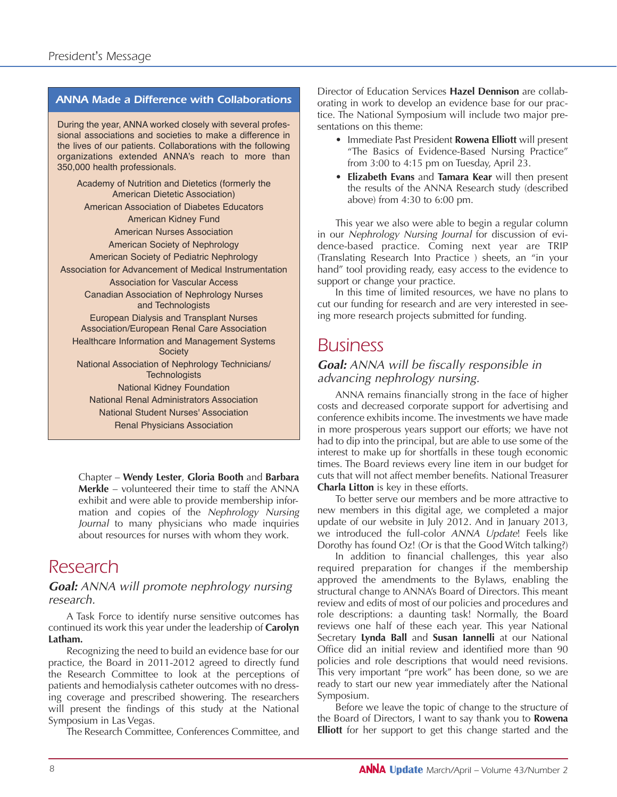#### *ANNA Made a Difference with Collaborations*

During the year, ANNA worked closely with several professional associations and societies to make a difference in the lives of our patients. Collaborations with the following organizations extended ANNA's reach to more than 350,000 health professionals.

Academy of Nutrition and Dietetics (formerly the American Dietetic Association) American Association of Diabetes Educators American Kidney Fund American Nurses Association American Society of Nephrology American Society of Pediatric Nephrology Association for Advancement of Medical Instrumentation Association for Vascular Access Canadian Association of Nephrology Nurses and Technologists European Dialysis and Transplant Nurses Association/European Renal Care Association Healthcare Information and Management Systems **Society** National Association of Nephrology Technicians/ **Technologists** National Kidney Foundation National Renal Administrators Association National Student Nurses' Association Renal Physicians Association

Chapter – **Wendy Lester**, **Gloria Booth** and **Barbara Merkle** – volunteered their time to staff the ANNA exhibit and were able to provide membership information and copies of the Nephrology Nursing Journal to many physicians who made inquiries about resources for nurses with whom they work.

### *Research*

#### **Goal:** ANNA will promote nephrology nursing research.

A Task Force to identify nurse sensitive outcomes has continued its work this year under the leadership of **Carolyn Latham.** 

Recognizing the need to build an evidence base for our practice, the Board in 2011-2012 agreed to directly fund the Research Committee to look at the perceptions of patients and hemodialysis catheter outcomes with no dressing coverage and prescribed showering. The researchers will present the findings of this study at the National Symposium in Las Vegas.

The Research Committee, Conferences Committee, and

Director of Education Services **Hazel Dennison** are collaborating in work to develop an evidence base for our practice. The National Symposium will include two major presentations on this theme:

- Immediate Past President **Rowena Elliott** will present "The Basics of Evidence-Based Nursing Practice" from 3:00 to 4:15 pm on Tuesday, April 23.
- **Elizabeth Evans** and **Tamara Kear** will then present the results of the ANNA Research study (described above) from 4:30 to 6:00 pm.

This year we also were able to begin a regular column in our Nephrology Nursing Journal for discussion of evidence-based practice. Coming next year are TRIP (Translating Research Into Practice ) sheets, an "in your hand" tool providing ready, easy access to the evidence to support or change your practice.

In this time of limited resources, we have no plans to cut our funding for research and are very interested in seeing more research projects submitted for funding.

### *Business*

#### **Goal:** ANNA will be fiscally responsible in advancing nephrology nursing.

ANNA remains financially strong in the face of higher costs and decreased corporate support for advertising and conference exhibits income. The investments we have made in more prosperous years support our efforts; we have not had to dip into the principal, but are able to use some of the interest to make up for shortfalls in these tough economic times. The Board reviews every line item in our budget for cuts that will not affect member benefits. National Treasurer **Charla Litton** is key in these efforts.

To better serve our members and be more attractive to new members in this digital age, we completed a major update of our website in July 2012. And in January 2013, we introduced the full-color ANNA Update! Feels like Dorothy has found Oz! (Or is that the Good Witch talking?)

In addition to financial challenges, this year also required preparation for changes if the membership approved the amendments to the Bylaws, enabling the structural change to ANNA's Board of Directors. This meant review and edits of most of our policies and procedures and role descriptions: a daunting task! Normally, the Board reviews one half of these each year. This year National Secretary **Lynda Ball** and **Susan Iannelli** at our National Office did an initial review and identified more than 90 policies and role descriptions that would need revisions. This very important "pre work" has been done, so we are ready to start our new year immediately after the National Symposium.

Before we leave the topic of change to the structure of the Board of Directors, I want to say thank you to **Rowena Elliott** for her support to get this change started and the